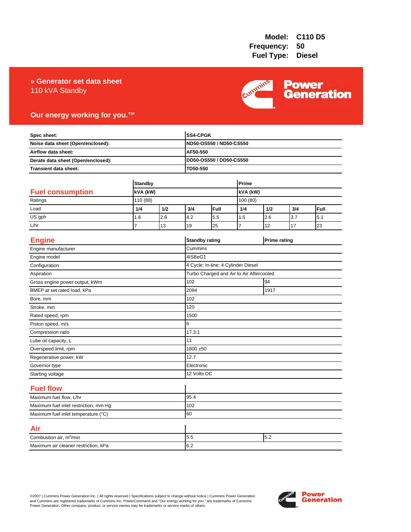### 110 kVA Standby **» Generator set data sheet**



## **Our energy working for you.™**

| Spec sheet:<br>Noise data sheet (Open/enclosed):<br>Airflow data sheet:<br>Derate data sheet (Open/enclosed): |                |     |         | SS4-CPGK<br>ND50-OS550 / ND50-CS550<br>AF50-550 |                |                     |     |      |  |
|---------------------------------------------------------------------------------------------------------------|----------------|-----|---------|-------------------------------------------------|----------------|---------------------|-----|------|--|
|                                                                                                               |                |     |         |                                                 |                |                     |     |      |  |
|                                                                                                               |                |     |         |                                                 |                |                     |     |      |  |
|                                                                                                               |                |     |         | DD50-OS550 / DD50-CS550                         |                |                     |     |      |  |
| <b>Transient data sheet:</b>                                                                                  |                |     |         | TD50-550                                        |                |                     |     |      |  |
|                                                                                                               | <b>Standby</b> |     |         |                                                 | Prime          |                     |     |      |  |
| <b>Fuel consumption</b>                                                                                       | kVA (kW)       |     |         | kVA (kW)                                        |                |                     |     |      |  |
| Ratings                                                                                                       | 110 (88)       |     |         |                                                 | 100 (80)       |                     |     |      |  |
| Load                                                                                                          | 1/4            | 1/2 | 3/4     | Full                                            | 1/4            | 1/2                 | 3/4 | Full |  |
| US gph                                                                                                        | 1.6            | 2.8 | 4.2     | 5.5                                             | 1.5            | 2.6                 | 3.7 | 5.1  |  |
| L/hr                                                                                                          | $\overline{7}$ | 13  | 19      | 25                                              | $\overline{7}$ | 12                  | 17  | 23   |  |
|                                                                                                               |                |     |         |                                                 |                |                     |     |      |  |
| <b>Engine</b>                                                                                                 |                |     |         | <b>Standby rating</b>                           |                | <b>Prime rating</b> |     |      |  |
| Engine manufacturer                                                                                           |                |     | Cummins |                                                 |                |                     |     |      |  |
| Engine model                                                                                                  |                |     | 4ISBeG1 |                                                 |                |                     |     |      |  |
| Configuration                                                                                                 |                |     |         | 4 Cycle; In-line; 4 Cylinder Diesel             |                |                     |     |      |  |
| Aspiration                                                                                                    |                |     |         | Turbo Charged and Air to Air Aftercooled        |                |                     |     |      |  |
| Gross engine power output, kWm                                                                                |                |     | 102     | 94                                              |                |                     |     |      |  |
| BMEP at set rated load, kPa                                                                                   |                |     | 2094    | 1917                                            |                |                     |     |      |  |
| Bore, mm                                                                                                      |                |     | 102     |                                                 |                |                     |     |      |  |
| Stroke, mm                                                                                                    |                |     | 120     |                                                 |                |                     |     |      |  |
| Rated speed, rpm                                                                                              |                |     | 1500    |                                                 |                |                     |     |      |  |
| Piston speed, m/s                                                                                             |                |     | 6       |                                                 |                |                     |     |      |  |
| Compression ratio                                                                                             |                |     | 17.3:1  |                                                 |                |                     |     |      |  |
| Lube oil capacity, L                                                                                          |                |     | 11      |                                                 |                |                     |     |      |  |
| Overspeed limit, rpm                                                                                          |                |     |         | 1800 ±50                                        |                |                     |     |      |  |
| Regenerative power, kW                                                                                        |                |     | 12.7    |                                                 |                |                     |     |      |  |
| Governor type                                                                                                 |                |     |         | Electronic                                      |                |                     |     |      |  |
| Starting voltage                                                                                              |                |     |         | 12 Volts DC                                     |                |                     |     |      |  |
| <b>Fuel flow</b>                                                                                              |                |     |         |                                                 |                |                     |     |      |  |
| Maximum fuel flow, L/hr                                                                                       |                |     | 95.4    |                                                 |                |                     |     |      |  |
| Maximum fuel inlet restriction, mm Hg                                                                         |                |     | 102     |                                                 |                |                     |     |      |  |
| Maximum fuel inlet temperature (°C)                                                                           |                |     | 60      |                                                 |                |                     |     |      |  |
| Air                                                                                                           |                |     |         |                                                 |                |                     |     |      |  |
| Combustion air, m <sup>3</sup> /min                                                                           |                |     | 5.5     | 5.2                                             |                |                     |     |      |  |
| Maximum air cleaner restriction, kPa                                                                          |                |     | 6.2     |                                                 |                |                     |     |      |  |

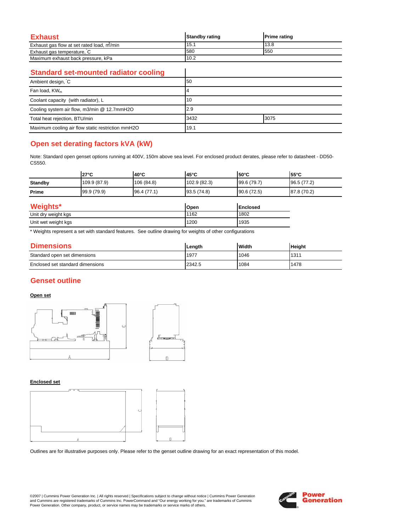| <b>Exhaust</b>                            | <b>Standby rating</b> | <b>Prime rating</b> |
|-------------------------------------------|-----------------------|---------------------|
| Exhaust gas flow at set rated load, m/min | 15.                   | 13.8                |
| Exhaust gas temperature, C                | 580                   | 550                 |
| Maximum exhaust back pressure, kPa        | 10.2                  |                     |

 $\overline{\phantom{a}}$ 

### **Standard set-mounted radiator cooling**

| Ambient design, C                                 | 50           |  |
|---------------------------------------------------|--------------|--|
| Fan load, $KW_m$                                  |              |  |
| Coolant capacity (with radiator), L               | 10           |  |
| Cooling system air flow, m3/min @ 12.7mmH2O       | 2.9          |  |
| Total heat rejection, BTU/min                     | 3432<br>3075 |  |
| Maximum cooling air flow static restriction mmH2O | 19.1         |  |

# **Open set derating factors kVA (kW)**

Note: Standard open genset options running at 400V, 150m above sea level. For enclosed product derates, please refer to datasheet - DD50- CS550.

|                | $27^{\circ}$ C | $140^{\circ}$ C | 145°C       | $150^{\circ}$ C | $55^{\circ}$ C |
|----------------|----------------|-----------------|-------------|-----------------|----------------|
| <b>Standby</b> | 109.9 (87.9)   | 106(84.8)       | 102.9(82.3) | 99.6(79.7)      | 96.5 (77.2)    |
| Prime          | 99.9 (79.9)    | 96.4 (77.1)     | 93.5(74.8)  | 90.6(72.5)      | 87.8 (70.2)    |
|                |                |                 |             |                 |                |

| Weights*            | Open | <b>Enclosed</b> |
|---------------------|------|-----------------|
| Unit dry weight kgs | 1162 | 1802            |
| Unit wet weight kgs | 1200 | 1935            |

\* Weights represent a set with standard features. See outline drawing for weights of other configurations

| <b>Dimensions</b>                | Length | <b>Width</b> | <b>Height</b> |
|----------------------------------|--------|--------------|---------------|
| Standard open set dimensions     | 1977   | 1046         | 1311          |
| Enclosed set standard dimensions | 2342.5 | 1084         | 1478          |

# **Genset outline**

### **Open set**



#### **Enclosed set**



Outlines are for illustrative purposes only. Please refer to the genset outline drawing for an exact representation of this model.

©2007 | Cummins Power Generation Inc. | All rights reserved | Specifications subject to change without notice | Cummins Power Generation and Cummins are registered trademarks of Cummins Inc. PowerCommand and "Our energy working for you." are trademarks of Cummins<br>Power Generation. Other company, product, or service names may be trademarks or service marks o